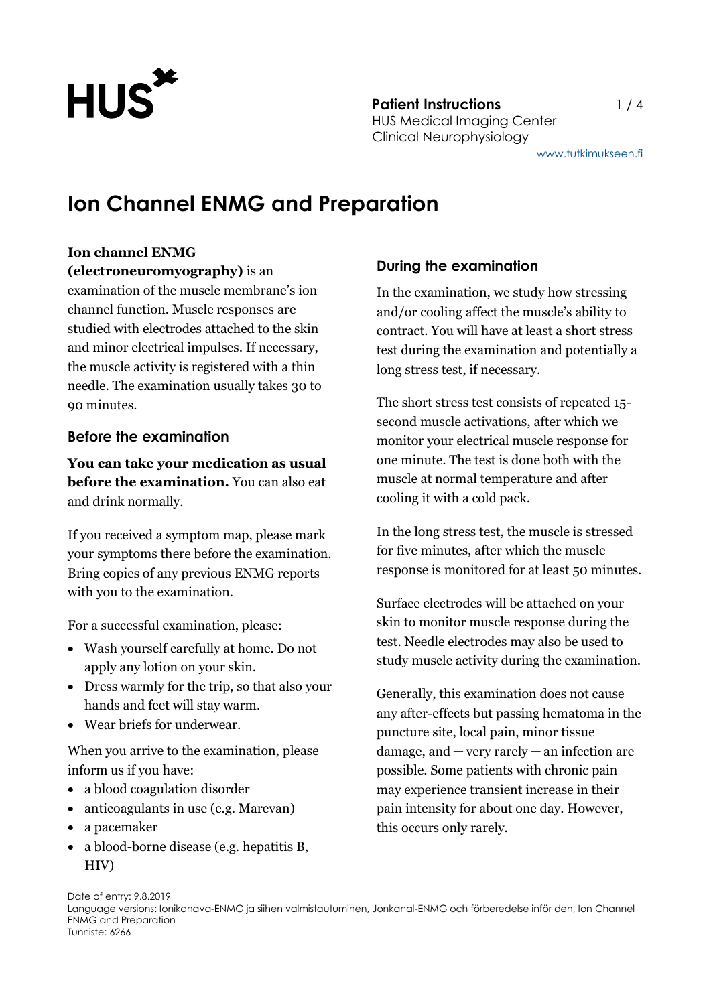

**Patient Instructions** 1/4 HUS Medical Imaging Center Clinical Neurophysiology

[www.tutkimukseen.fi](http://www.tutkimukseen.fi/)

# **Ion Channel ENMG and Preparation**

#### **Ion channel ENMG**

#### **(electroneuromyography)** is an

examination of the muscle membrane's ion channel function. Muscle responses are studied with electrodes attached to the skin and minor electrical impulses. If necessary, the muscle activity is registered with a thin needle. The examination usually takes 30 to 90 minutes.

## **Before the examination**

**You can take your medication as usual before the examination.** You can also eat and drink normally.

If you received a symptom map, please mark your symptoms there before the examination. Bring copies of any previous ENMG reports with you to the examination.

For a successful examination, please:

- Wash yourself carefully at home. Do not apply any lotion on your skin.
- Dress warmly for the trip, so that also your hands and feet will stay warm.
- Wear briefs for underwear.

When you arrive to the examination, please inform us if you have:

- a blood coagulation disorder
- anticoagulants in use (e.g. Marevan)
- a pacemaker
- a blood-borne disease (e.g. hepatitis B, HIV)

# **During the examination**

In the examination, we study how stressing and/or cooling affect the muscle's ability to contract. You will have at least a short stress test during the examination and potentially a long stress test, if necessary.

The short stress test consists of repeated 15 second muscle activations, after which we monitor your electrical muscle response for one minute. The test is done both with the muscle at normal temperature and after cooling it with a cold pack.

In the long stress test, the muscle is stressed for five minutes, after which the muscle response is monitored for at least 50 minutes.

Surface electrodes will be attached on your skin to monitor muscle response during the test. Needle electrodes may also be used to study muscle activity during the examination.

Generally, this examination does not cause any after-effects but passing hematoma in the puncture site, local pain, minor tissue damage, and ─ very rarely ─ an infection are possible. Some patients with chronic pain may experience transient increase in their pain intensity for about one day. However, this occurs only rarely.

Date of entry: 9.8.2019 Language versions: Ionikanava-ENMG ja siihen valmistautuminen, Jonkanal-ENMG och förberedelse inför den, Ion Channel ENMG and Preparation Tunniste: 6266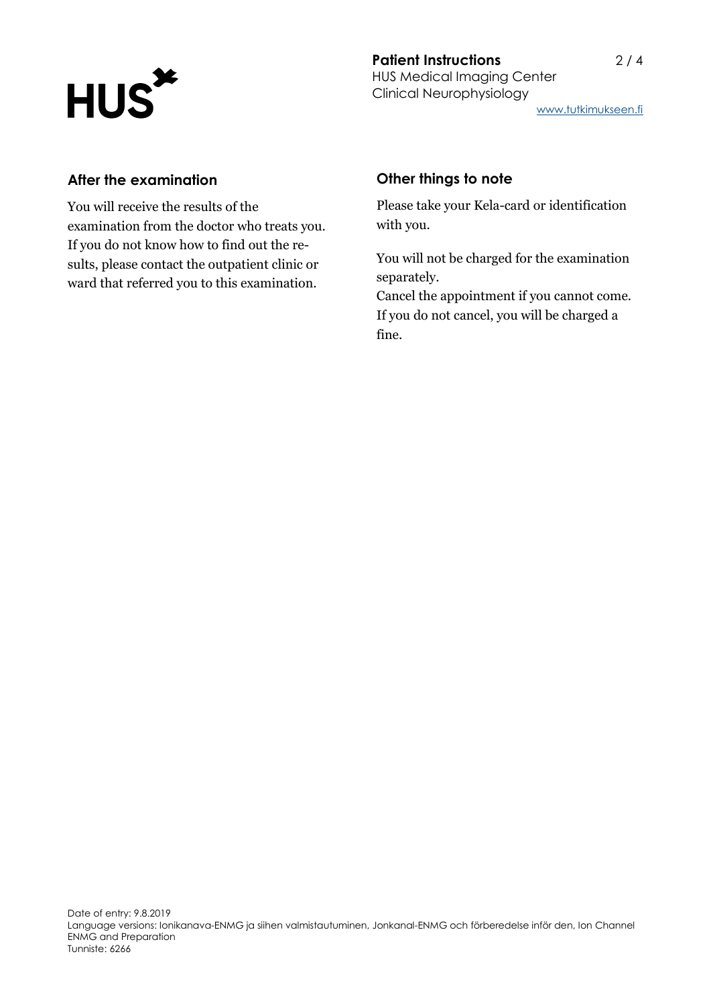

[www.tutkimukseen.fi](http://www.tutkimukseen.fi/)

### **After the examination**

You will receive the results of the examination from the doctor who treats you. If you do not know how to find out the results, please contact the outpatient clinic or ward that referred you to this examination.

## **Other things to note**

Please take your Kela-card or identification with you.

You will not be charged for the examination separately.

Cancel the appointment if you cannot come. If you do not cancel, you will be charged a fine.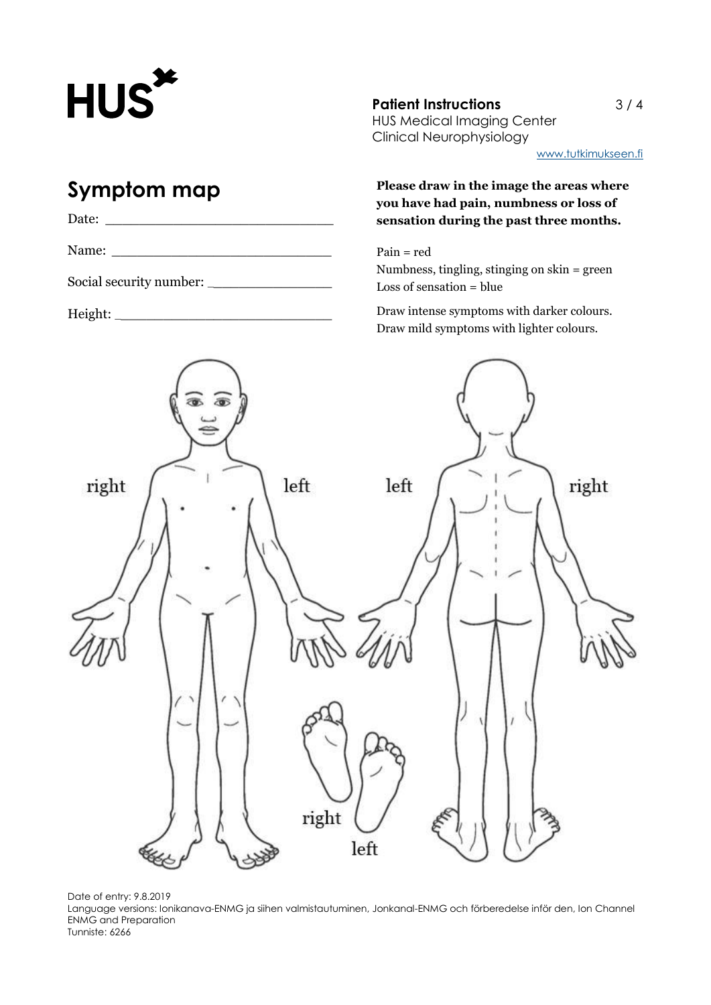

# **Symptom map**

| Date:                   |  |
|-------------------------|--|
| Name:                   |  |
| Social security number: |  |

Height: \_\_\_\_\_\_\_\_\_\_\_\_\_\_\_\_\_\_\_\_\_\_\_\_\_\_

**Patient Instructions** 3 / 4 HUS Medical Imaging Center Clinical Neurophysiology

[www.tutkimukseen.fi](http://www.tutkimukseen.fi/)

**Please draw in the image the areas where you have had pain, numbness or loss of sensation during the past three months.**

Pain = red Numbness, tingling, stinging on skin = green Loss of sensation = blue

Draw intense symptoms with darker colours. Draw mild symptoms with lighter colours.





Language versions: Ionikanava-ENMG ja siihen valmistautuminen, Jonkanal-ENMG och förberedelse inför den, Ion Channel ENMG and Preparation Tunniste: 6266